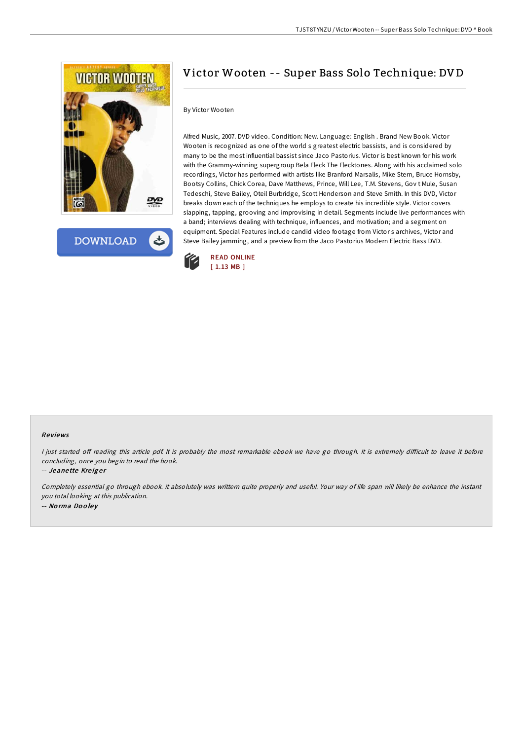

**DOWNLOAD** 

# Victor Wooten -- Super Bass Solo Technique: DV D

### By Victor Wooten

Alfred Music, 2007. DVD video. Condition: New. Language: English . Brand New Book. Victor Wooten is recognized as one of the world s greatest electric bassists, and is considered by many to be the most influential bassist since Jaco Pastorius. Victor is best known for his work with the Grammy-winning supergroup Bela Fleck The Flecktones. Along with his acclaimed solo recordings, Victor has performed with artists like Branford Marsalis, Mike Stern, Bruce Hornsby, Bootsy Collins, Chick Corea, Dave Matthews, Prince, Will Lee, T.M. Stevens, Gov t Mule, Susan Tedeschi, Steve Bailey, Oteil Burbridge, Scott Henderson and Steve Smith. In this DVD, Victor breaks down each of the techniques he employs to create his incredible style. Victor covers slapping, tapping, grooving and improvising in detail. Segments include live performances with a band; interviews dealing with technique, influences, and motivation; and a segment on equipment. Special Features include candid video footage from Victor s archives, Victor and Steve Bailey jamming, and a preview from the Jaco Pastorius Modern Electric Bass DVD.



### Re views

I just started off reading this article pdf. It is probably the most remarkable ebook we have go through. It is extremely difficult to leave it before concluding, once you begin to read the book.

-- Jeanette Kreiger

Completely essential go through ebook. it absolutely was writtern quite properly and useful. Your way of life span will likely be enhance the instant you total looking at this publication. -- No rma Do <sup>o</sup> le y